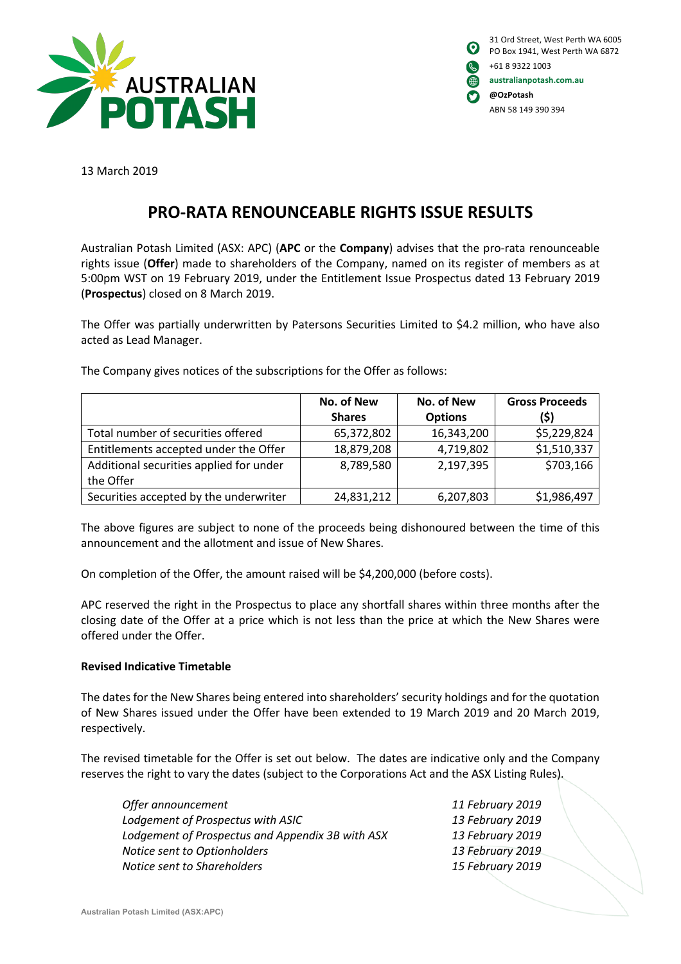

| $\boldsymbol{\Omega}$ | 31 Ord Street, West Perth WA 6005<br>PO Box 1941, West Perth WA 6872 |
|-----------------------|----------------------------------------------------------------------|
| $\mathscr{C}$         | +61 8 9322 1003                                                      |
|                       | australianpotash.com.au                                              |
| $\boldsymbol{\Omega}$ | @OzPotash                                                            |
|                       | ABN 58 149 390 394                                                   |

13 March 2019

## **PRO-RATA RENOUNCEABLE RIGHTS ISSUE RESULTS**

Australian Potash Limited (ASX: APC) (**APC** or the **Company**) advises that the pro-rata renounceable rights issue (**Offer**) made to shareholders of the Company, named on its register of members as at 5:00pm WST on 19 February 2019, under the Entitlement Issue Prospectus dated 13 February 2019 (**Prospectus**) closed on 8 March 2019.

The Offer was partially underwritten by Patersons Securities Limited to \$4.2 million, who have also acted as Lead Manager.

|                                         | No. of New<br><b>Shares</b> | No. of New<br><b>Options</b> | <b>Gross Proceeds</b><br>(\$) |
|-----------------------------------------|-----------------------------|------------------------------|-------------------------------|
| Total number of securities offered      | 65,372,802                  | 16,343,200                   | \$5,229,824                   |
| Entitlements accepted under the Offer   | 18,879,208                  | 4,719,802                    | \$1,510,337                   |
| Additional securities applied for under | 8,789,580                   | 2,197,395                    | \$703,166                     |
| the Offer                               |                             |                              |                               |
| Securities accepted by the underwriter  | 24,831,212                  | 6,207,803                    | \$1,986,497                   |

The Company gives notices of the subscriptions for the Offer as follows:

The above figures are subject to none of the proceeds being dishonoured between the time of this announcement and the allotment and issue of New Shares.

On completion of the Offer, the amount raised will be \$4,200,000 (before costs).

APC reserved the right in the Prospectus to place any shortfall shares within three months after the closing date of the Offer at a price which is not less than the price at which the New Shares were offered under the Offer.

## **Revised Indicative Timetable**

The dates for the New Shares being entered into shareholders' security holdings and for the quotation of New Shares issued under the Offer have been extended to 19 March 2019 and 20 March 2019, respectively.

The revised timetable for the Offer is set out below. The dates are indicative only and the Company reserves the right to vary the dates (subject to the Corporations Act and the ASX Listing Rules).

> *Offer announcement 11 February 2019 Lodgement of Prospectus with ASIC 13 February 2019 Lodgement of Prospectus and Appendix 3B with ASX 13 February 2019 Notice sent to Optionholders 13 February 2019 Notice sent to Shareholders 15 February 2019*

| Offer announcement                               |  |
|--------------------------------------------------|--|
| Lodgement of Prospectus with ASIC                |  |
| Lodgement of Prospectus and Appendix 3B with ASX |  |
| Notice sent to Optionholders                     |  |
| Notice sent to Shareholders                      |  |

**Australian Potash Limited (ASX:APC)**